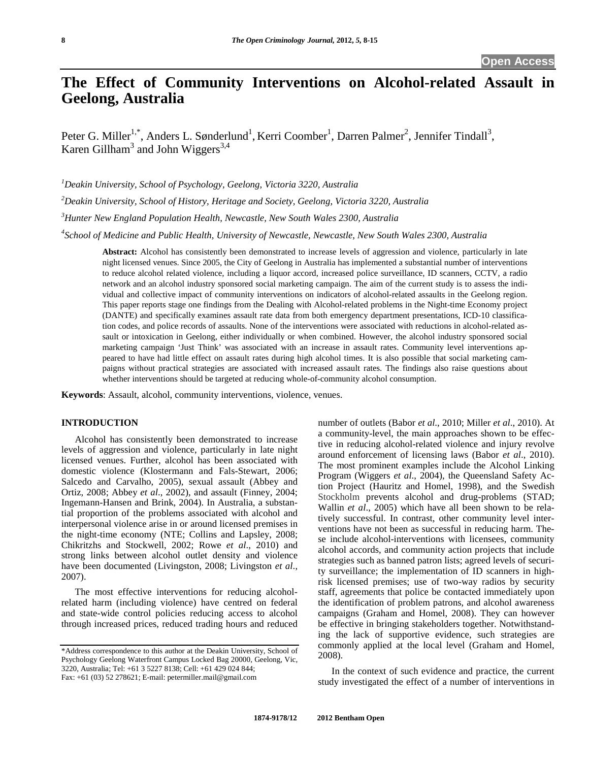# **The Effect of Community Interventions on Alcohol-related Assault in Geelong, Australia**

Peter G. Miller<sup>1,\*</sup>, Anders L. Sønderlund<sup>1</sup>, Kerri Coomber<sup>1</sup>, Darren Palmer<sup>2</sup>, Jennifer Tindall<sup>3</sup>, Karen Gillham<sup>3</sup> and John Wiggers<sup>3,4</sup>

*1 Deakin University, School of Psychology, Geelong, Victoria 3220, Australia*

*2 Deakin University, School of History, Heritage and Society, Geelong, Victoria 3220, Australia*

*3 Hunter New England Population Health, Newcastle, New South Wales 2300, Australia*

*4 School of Medicine and Public Health, University of Newcastle, Newcastle, New South Wales 2300, Australia*

**Abstract:** Alcohol has consistently been demonstrated to increase levels of aggression and violence, particularly in late night licensed venues. Since 2005, the City of Geelong in Australia has implemented a substantial number of interventions to reduce alcohol related violence, including a liquor accord, increased police surveillance, ID scanners, CCTV, a radio network and an alcohol industry sponsored social marketing campaign. The aim of the current study is to assess the individual and collective impact of community interventions on indicators of alcohol-related assaults in the Geelong region. This paper reports stage one findings from the Dealing with Alcohol-related problems in the Night-time Economy project (DANTE) and specifically examines assault rate data from both emergency department presentations, ICD-10 classification codes, and police records of assaults. None of the interventions were associated with reductions in alcohol-related assault or intoxication in Geelong, either individually or when combined. However, the alcohol industry sponsored social marketing campaign 'Just Think' was associated with an increase in assault rates. Community level interventions appeared to have had little effect on assault rates during high alcohol times. It is also possible that social marketing campaigns without practical strategies are associated with increased assault rates. The findings also raise questions about whether interventions should be targeted at reducing whole-of-community alcohol consumption.

**Keywords**: Assault, alcohol, community interventions, violence, venues.

# **INTRODUCTION**

Alcohol has consistently been demonstrated to increase levels of aggression and violence, particularly in late night licensed venues. Further, alcohol has been associated with domestic violence [\(Klostermann and Fals-Stewart, 2006;](#page-6-0) [Salcedo and Carvalho, 2005\)](#page-6-1), sexual assault [\(Abbey and](#page-6-2)  [Ortiz, 2008;](#page-6-2) [Abbey](#page-6-3) *et al*., 2002), and assault [\(Finney, 2004;](#page-6-4) [Ingemann-Hansen and Brink, 2004\)](#page-6-5). In Australia, a substantial proportion of the problems associated with alcohol and interpersonal violence arise in or around licensed premises in the night-time economy (NTE; [Collins and Lapsley, 2008;](#page-6-6) [Chikritzhs and Stockwell, 2002;](#page-6-7) Rowe *et al*[., 2010\)](#page-6-8) and strong links between alcohol outlet density and violence have been documented [\(Livingston, 2008;](#page-6-9) [Livingston](#page-6-10) *et al*., [2007\)](#page-6-10).

The most effective interventions for reducing alcoholrelated harm (including violence) have centred on federal and state-wide control policies reducing access to alcohol through increased prices, reduced trading hours and reduced number of outlets (Babor *et al*[., 2010;](#page-6-11) [Miller](#page-6-12) *et al*., 2010). At a community-level, the main approaches shown to be effective in reducing alcohol-related violence and injury revolve around enforcement of licensing laws (Babor *et al*[., 2010\)](#page-6-13). The most prominent examples include the Alcohol Linking Program [\(Wiggers](#page-7-0) *et al*., 2004), the Queensland Safety Action Project [\(Hauritz and Homel, 1998\)](#page-6-14), and the Swedish Stockholm prevents alcohol and drug-problems [\(STAD;](#page-6-15) Wallin *et al*[., 2005\)](#page-6-15) which have all been shown to be relatively successful. In contrast, other community level interventions have not been as successful in reducing harm. These include alcohol-interventions with licensees, community alcohol accords, and community action projects that include strategies such as banned patron lists; agreed levels of security surveillance; the implementation of ID scanners in highrisk licensed premises; use of two-way radios by security staff, agreements that police be contacted immediately upon the identification of problem patrons, and alcohol awareness campaigns [\(Graham and Homel, 2008\)](#page-6-16). They can however be effective in bringing stakeholders together. Notwithstanding the lack of supportive evidence, such strategies are commonly applied at the local level [\(Graham and Homel,](#page-6-16)  [2008\)](#page-6-16).

In the context of such evidence and practice, the current study investigated the effect of a number of interventions in

<sup>\*</sup>Address correspondence to this author at the Deakin University, School of Psychology Geelong Waterfront Campus Locked Bag 20000, Geelong, Vic, 3220, Australia; Tel: +61 3 5227 8138; Cell: +61 429 024 844; Fax: +61 (03) 52 278621; E-mail: petermiller.mail@gmail.com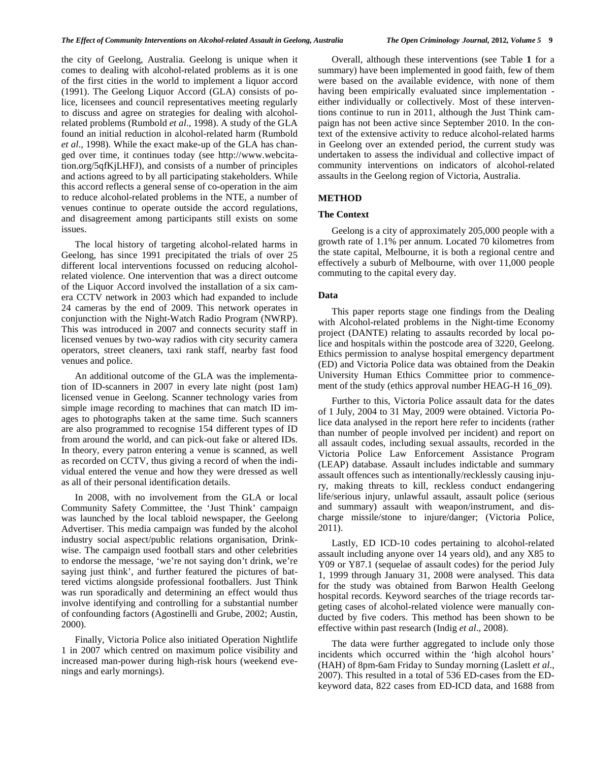the city of Geelong, Australia. Geelong is unique when it comes to dealing with alcohol-related problems as it is one of the first cities in the world to implement a liquor accord (1991). The Geelong Liquor Accord (GLA) consists of police, licensees and council representatives meeting regularly to discuss and agree on strategies for dealing with alcoholrelated problems [\(Rumbold](#page-6-17) *et al*., 1998). A study of the GLA found an initial reduction in alcohol-related harm [\(Rumbold](#page-6-17)  *et al*[., 1998\)](#page-6-17). While the exact make-up of the GLA has changed over time, it continues today (see http://www.webcitation.org/5qfKjLHFJ), and consists of a number of principles and actions agreed to by all participating stakeholders. While this accord reflects a general sense of co-operation in the aim to reduce alcohol-related problems in the NTE, a number of venues continue to operate outside the accord regulations, and disagreement among participants still exists on some issues.

The local history of targeting alcohol-related harms in Geelong, has since 1991 precipitated the trials of over 25 different local interventions focussed on reducing alcoholrelated violence. One intervention that was a direct outcome of the Liquor Accord involved the installation of a six camera CCTV network in 2003 which had expanded to include 24 cameras by the end of 2009. This network operates in conjunction with the Night-Watch Radio Program (NWRP). This was introduced in 2007 and connects security staff in licensed venues by two-way radios with city security camera operators, street cleaners, taxi rank staff, nearby fast food venues and police.

An additional outcome of the GLA was the implementation of ID-scanners in 2007 in every late night (post 1am) licensed venue in Geelong. Scanner technology varies from simple image recording to machines that can match ID images to photographs taken at the same time. Such scanners are also programmed to recognise 154 different types of ID from around the world, and can pick-out fake or altered IDs. In theory, every patron entering a venue is scanned, as well as recorded on CCTV, thus giving a record of when the individual entered the venue and how they were dressed as well as all of their personal identification details.

In 2008, with no involvement from the GLA or local Community Safety Committee, the 'Just Think' campaign was launched by the local tabloid newspaper, the Geelong Advertiser. This media campaign was funded by the alcohol industry social aspect/public relations organisation, Drinkwise. The campaign used football stars and other celebrities to endorse the message, 'we're not saying don't drink, we're saying just think', and further featured the pictures of battered victims alongside professional footballers. Just Think was run sporadically and determining an effect would thus involve identifying and controlling for a substantial number of confounding factors [\(Agostinelli and Grube, 2002;](#page-6-18) [Austin,](#page-6-13)  [2000\)](#page-6-13).

Finally, Victoria Police also initiated Operation Nightlife 1 in 2007 which centred on maximum police visibility and increased man-power during high-risk hours (weekend evenings and early mornings).

Overall, although these interventions (see Table **1** for a summary) have been implemented in good faith, few of them were based on the available evidence, with none of them having been empirically evaluated since implementation either individually or collectively. Most of these interventions continue to run in 2011, although the Just Think campaign has not been active since September 2010. In the context of the extensive activity to reduce alcohol-related harms in Geelong over an extended period, the current study was undertaken to assess the individual and collective impact of community interventions on indicators of alcohol-related assaults in the Geelong region of Victoria, Australia.

## **METHOD**

#### **The Context**

Geelong is a city of approximately 205,000 people with a growth rate of 1.1% per annum. Located 70 kilometres from the state capital, Melbourne, it is both a regional centre and effectively a suburb of Melbourne, with over 11,000 people commuting to the capital every day.

## **Data**

This paper reports stage one findings from the Dealing with Alcohol-related problems in the Night-time Economy project (DANTE) relating to assaults recorded by local police and hospitals within the postcode area of 3220, Geelong. Ethics permission to analyse hospital emergency department (ED) and Victoria Police data was obtained from the Deakin University Human Ethics Committee prior to commencement of the study (ethics approval number HEAG-H 16–09).

Further to this, Victoria Police assault data for the dates of 1 July, 2004 to 31 May, 2009 were obtained. Victoria Police data analysed in the report here refer to incidents (rather than number of people involved per incident) and report on all assault codes, including sexual assaults, recorded in the Victoria Police Law Enforcement Assistance Program (LEAP) database. Assault includes indictable and summary assault offences such as intentionally/recklessly causing injury, making threats to kill, reckless conduct endangering life/serious injury, unlawful assault, assault police (serious and summary) assault with weapon/instrument, and discharge missile/stone to injure/danger; [\(Victoria Police,](#page-6-19)  [2011\)](#page-6-19).

Lastly, ED ICD-10 codes pertaining to alcohol-related assault including anyone over 14 years old), and any X85 to Y09 or Y87.1 (sequelae of assault codes) for the period July 1, 1999 through January 31, 2008 were analysed. This data for the study was obtained from Barwon Health Geelong hospital records. Keyword searches of the triage records targeting cases of alcohol-related violence were manually conducted by five coders. This method has been shown to be effective within past research (Indig *et al*[., 2008\)](#page-6-20).

The data were further aggregated to include only those incidents which occurred within the 'high alcohol hours' (HAH) of 8pm-6am Friday to Sunday morning [\(Laslett](#page-6-21) *et al*., [2007\)](#page-6-21). This resulted in a total of 536 ED-cases from the EDkeyword data, 822 cases from ED-ICD data, and 1688 from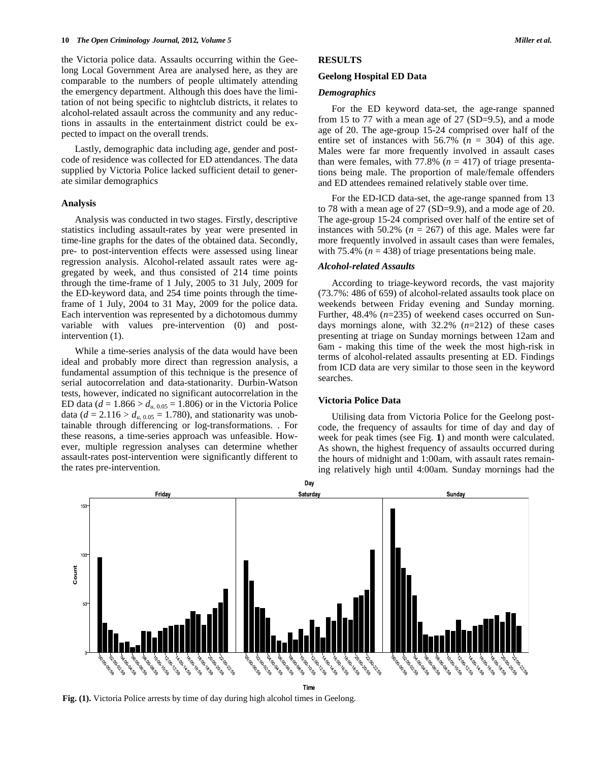the Victoria police data. Assaults occurring within the Geelong Local Government Area are analysed here, as they are comparable to the numbers of people ultimately attending the emergency department. Although this does have the limitation of not being specific to nightclub districts, it relates to alcohol-related assault across the community and any reductions in assaults in the entertainment district could be expected to impact on the overall trends.

Lastly, demographic data including age, gender and postcode of residence was collected for ED attendances. The data supplied by Victoria Police lacked sufficient detail to generate similar demographics

#### **Analysis**

Analysis was conducted in two stages. Firstly, descriptive statistics including assault-rates by year were presented in time-line graphs for the dates of the obtained data. Secondly, pre- to post-intervention effects were assessed using linear regression analysis. Alcohol-related assault rates were aggregated by week, and thus consisted of 214 time points through the time-frame of 1 July, 2005 to 31 July, 2009 for the ED-keyword data, and 254 time points through the timeframe of 1 July, 2004 to 31 May, 2009 for the police data. Each intervention was represented by a dichotomous dummy variable with values pre-intervention (0) and postintervention (1).

While a time-series analysis of the data would have been ideal and probably more direct than regression analysis, a fundamental assumption of this technique is the presence of serial autocorrelation and data-stationarity. Durbin-Watson tests, however, indicated no significant autocorrelation in the ED data ( $d = 1.866 > d_{u, 0.05} = 1.806$ ) or in the Victoria Police data ( $d = 2.116 > d_{u, 0.05} = 1.780$ ), and stationarity was unobtainable through differencing or log-transformations. . For these reasons, a time-series approach was unfeasible. However, multiple regression analyses can determine whether assault-rates post-intervention were significantly different to the rates pre-intervention.

## **RESULTS**

#### **Geelong Hospital ED Data**

## *Demographics*

For the ED keyword data-set, the age-range spanned from 15 to 77 with a mean age of 27  $(SD=9.5)$ , and a mode age of 20. The age-group 15-24 comprised over half of the entire set of instances with  $56.7\%$  ( $n = 304$ ) of this age. Males were far more frequently involved in assault cases than were females, with  $77.8\%$  ( $n = 417$ ) of triage presentations being male. The proportion of male/female offenders and ED attendees remained relatively stable over time.

For the ED-ICD data-set, the age-range spanned from 13 to 78 with a mean age of 27 (SD=9.9), and a mode age of 20. The age-group 15-24 comprised over half of the entire set of instances with 50.2%  $(n = 267)$  of this age. Males were far more frequently involved in assault cases than were females, with 75.4% ( $n = 438$ ) of triage presentations being male.

## *Alcohol-related Assaults*

According to triage-keyword records, the vast majority (73.7%: 486 of 659) of alcohol-related assaults took place on weekends between Friday evening and Sunday morning. Further, 48.4% (*n*=235) of weekend cases occurred on Sundays mornings alone, with 32.2% (*n*=212) of these cases presenting at triage on Sunday mornings between 12am and 6am - making this time of the week the most high-risk in terms of alcohol-related assaults presenting at ED. Findings from ICD data are very similar to those seen in the keyword searches.

## **Victoria Police Data**

Utilising data from Victoria Police for the Geelong postcode, the frequency of assaults for time of day and day of week for peak times (see Fig. **1**) and month were calculated. As shown, the highest frequency of assaults occurred during the hours of midnight and 1:00am, with assault rates remaining relatively high until 4:00am. Sunday mornings had the



Time

**Fig. (1).** Victoria Police arrests by time of day during high alcohol times in Geelong.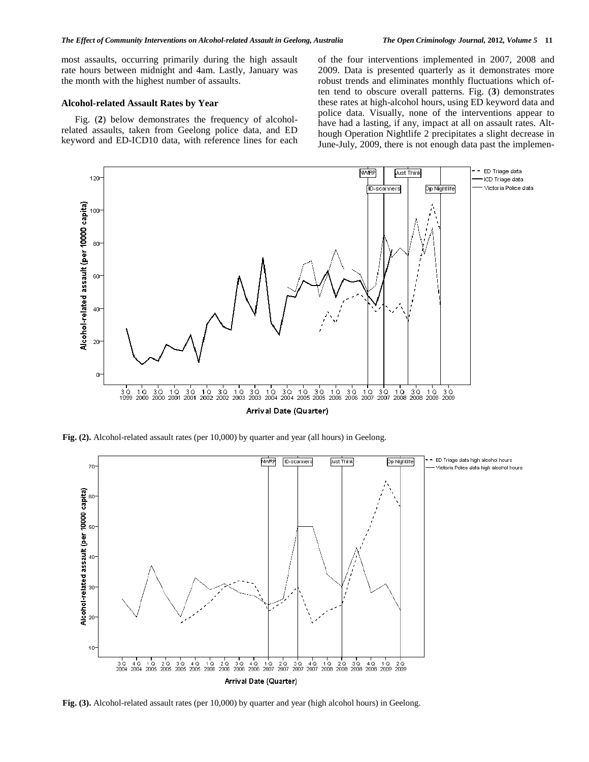most assaults, occurring primarily during the high assault rate hours between midnight and 4am. Lastly, January was the month with the highest number of assaults.

## **Alcohol-related Assault Rates by Year**

Fig. (**2**) below demonstrates the frequency of alcoholrelated assaults, taken from Geelong police data, and ED keyword and ED-ICD10 data, with reference lines for each of the four interventions implemented in 2007, 2008 and 2009. Data is presented quarterly as it demonstrates more robust trends and eliminates monthly fluctuations which often tend to obscure overall patterns. Fig. (**3**) demonstrates these rates at high-alcohol hours, using ED keyword data and police data. Visually, none of the interventions appear to have had a lasting, if any, impact at all on assault rates. Although Operation Nightlife 2 precipitates a slight decrease in June-July, 2009, there is not enough data past the implemen-



Fig. (2). Alcohol-related assault rates (per 10,000) by quarter and year (all hours) in Geelong.



Fig. (3). Alcohol-related assault rates (per 10,000) by quarter and year (high alcohol hours) in Geelong.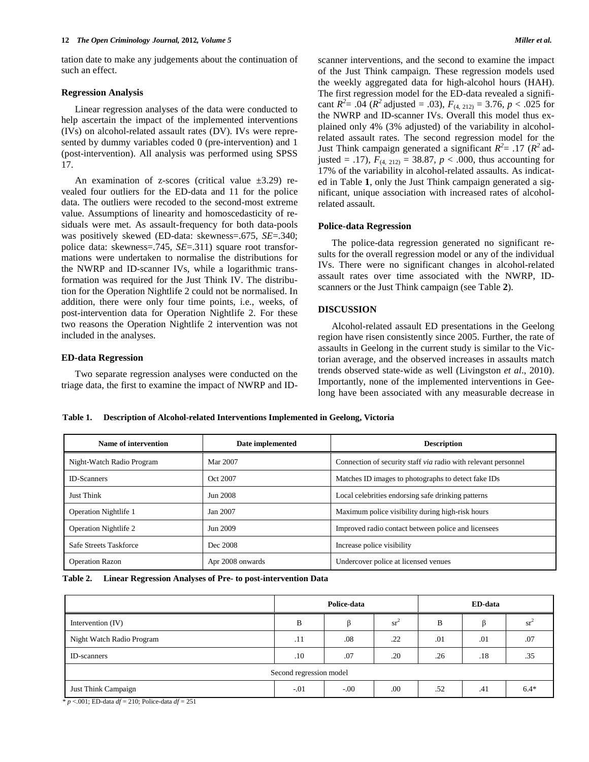tation date to make any judgements about the continuation of such an effect.

#### **Regression Analysis**

Linear regression analyses of the data were conducted to help ascertain the impact of the implemented interventions (IVs) on alcohol-related assault rates (DV). IVs were represented by dummy variables coded 0 (pre-intervention) and 1 (post-intervention). All analysis was performed using SPSS 17.

An examination of z-scores (critical value  $\pm 3.29$ ) revealed four outliers for the ED-data and 11 for the police data. The outliers were recoded to the second-most extreme value. Assumptions of linearity and homoscedasticity of residuals were met. As assault-frequency for both data-pools was positively skewed (ED-data: skewness=.675, *SE*=.340; police data: skewness=.745, *SE*=.311) square root transformations were undertaken to normalise the distributions for the NWRP and ID-scanner IVs, while a logarithmic transformation was required for the Just Think IV. The distribution for the Operation Nightlife 2 could not be normalised. In addition, there were only four time points, i.e., weeks, of post-intervention data for Operation Nightlife 2. For these two reasons the Operation Nightlife 2 intervention was not included in the analyses.

#### **ED-data Regression**

Two separate regression analyses were conducted on the triage data, the first to examine the impact of NWRP and ID-

scanner interventions, and the second to examine the impact of the Just Think campaign. These regression models used the weekly aggregated data for high-alcohol hours (HAH). The first regression model for the ED-data revealed a significant  $R^2$  = .04 ( $R^2$  adjusted = .03),  $F_{(4, 212)}$  = 3.76,  $p < .025$  for the NWRP and ID-scanner IVs. Overall this model thus explained only 4% (3% adjusted) of the variability in alcoholrelated assault rates. The second regression model for the Just Think campaign generated a significant  $R^2 = .17$  ( $R^2$  adjusted = .17),  $F_{(4, 212)} = 38.87$ ,  $p < .000$ , thus accounting for 17% of the variability in alcohol-related assaults. As indicated in Table **1**, only the Just Think campaign generated a significant, unique association with increased rates of alcoholrelated assault.

### **Police-data Regression**

The police-data regression generated no significant results for the overall regression model or any of the individual IVs. There were no significant changes in alcohol-related assault rates over time associated with the NWRP, IDscanners or the Just Think campaign (see Table **2**).

## **DISCUSSION**

Alcohol-related assault ED presentations in the Geelong region have risen consistently since 2005. Further, the rate of assaults in Geelong in the current study is similar to the Victorian average, and the observed increases in assaults match trends observed state-wide as well (Livingston *et al*., 2010). Importantly, none of the implemented interventions in Geelong have been associated with any measurable decrease in

**Table 1. Description of Alcohol-related Interventions Implemented in Geelong, Victoria**

| Name of intervention         | Date implemented | <b>Description</b>                                             |
|------------------------------|------------------|----------------------------------------------------------------|
| Night-Watch Radio Program    | Mar 2007         | Connection of security staff via radio with relevant personnel |
| <b>ID-Scanners</b>           | Oct 2007         | Matches ID images to photographs to detect fake IDs            |
| <b>Just Think</b>            | Jun 2008         | Local celebrities endorsing safe drinking patterns             |
| <b>Operation Nightlife 1</b> | Jan 2007         | Maximum police visibility during high-risk hours               |
| <b>Operation Nightlife 2</b> | Jun 2009         | Improved radio contact between police and licensees            |
| Safe Streets Taskforce       | Dec 2008         | Increase police visibility                                     |
| <b>Operation Razon</b>       | Apr 2008 onwards | Undercover police at licensed venues                           |

| <b>Table 2.</b> |  |  | Linear Regression Analyses of Pre- to post-intervention Data |  |  |  |
|-----------------|--|--|--------------------------------------------------------------|--|--|--|
|-----------------|--|--|--------------------------------------------------------------|--|--|--|

|                           | Police-data |        |     | ED-data |     |                   |  |  |  |
|---------------------------|-------------|--------|-----|---------|-----|-------------------|--|--|--|
| Intervention (IV)         | B           |        | sr' | B       |     | $sr$ <sup>-</sup> |  |  |  |
| Night Watch Radio Program | .11         | .08    | .22 | .01     | .01 | .07               |  |  |  |
| ID-scanners               | .10         | .07    | .20 | .26     | .18 | .35               |  |  |  |
| Second regression model   |             |        |     |         |     |                   |  |  |  |
| Just Think Campaign       | $-.01$      | $-.00$ | .00 | .52     | .41 | $6.4*$            |  |  |  |

\* *p* <.001; ED-data *df* = 210; Police-data *df* = 251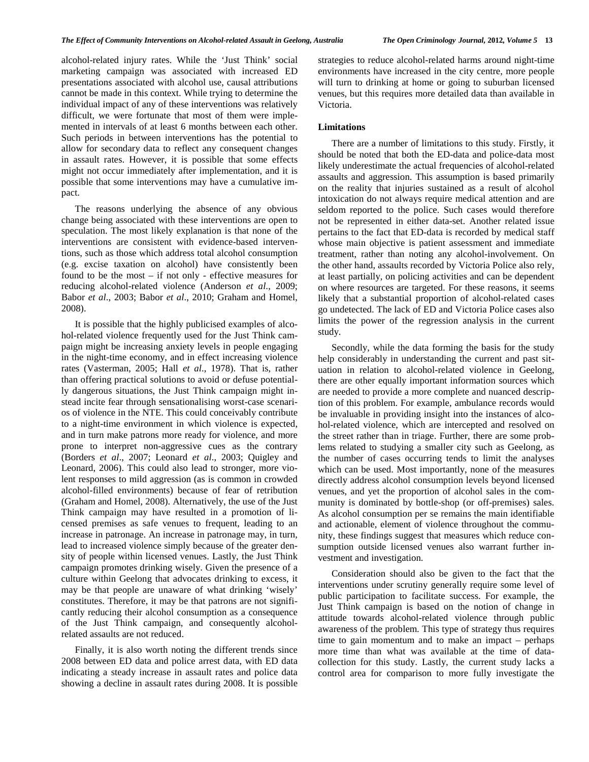alcohol-related injury rates. While the 'Just Think' social marketing campaign was associated with increased ED presentations associated with alcohol use, causal attributions cannot be made in this context. While trying to determine the individual impact of any of these interventions was relatively difficult, we were fortunate that most of them were implemented in intervals of at least 6 months between each other. Such periods in between interventions has the potential to allow for secondary data to reflect any consequent changes in assault rates. However, it is possible that some effects might not occur immediately after implementation, and it is possible that some interventions may have a cumulative impact.

The reasons underlying the absence of any obvious change being associated with these interventions are open to speculation. The most likely explanation is that none of the interventions are consistent with evidence-based interventions, such as those which address total alcohol consumption (e.g. excise taxation on alcohol) have consistently been found to be the most – if not only - effective measures for reducing alcohol-related violence [\(Anderson](#page-6-22) *et al*., 2009; Babor *et al*[., 2003;](#page-6-23) Babor *et al*[., 2010;](#page-6-11) [Graham and Homel,](#page-6-16)  [2008\)](#page-6-16).

It is possible that the highly publicised examples of alcohol-related violence frequently used for the Just Think campaign might be increasing anxiety levels in people engaging in the night-time economy, and in effect increasing violence rates [\(Vasterman, 2005;](#page-6-24) Hall *et al*[., 1978\)](#page-6-25). That is, rather than offering practical solutions to avoid or defuse potentially dangerous situations, the Just Think campaign might instead incite fear through sensationalising worst-case scenarios of violence in the NTE. This could conceivably contribute to a night-time environment in which violence is expected, and in turn make patrons more ready for violence, and more prone to interpret non-aggressive cues as the contrary [\(Borders](#page-6-26) *et al*., 2007; [Leonard](#page-6-27) *et al*., 2003; [Quigley and](#page-6-28)  [Leonard, 2006\)](#page-6-28). This could also lead to stronger, more violent responses to mild aggression (as is common in crowded alcohol-filled environments) because of fear of retribution [\(Graham and Homel, 2008\)](#page-6-16). Alternatively, the use of the Just Think campaign may have resulted in a promotion of licensed premises as safe venues to frequent, leading to an increase in patronage. An increase in patronage may, in turn, lead to increased violence simply because of the greater density of people within licensed venues. Lastly, the Just Think campaign promotes drinking wisely. Given the presence of a culture within Geelong that advocates drinking to excess, it may be that people are unaware of what drinking 'wisely' constitutes. Therefore, it may be that patrons are not significantly reducing their alcohol consumption as a consequence of the Just Think campaign, and consequently alcoholrelated assaults are not reduced.

Finally, it is also worth noting the different trends since 2008 between ED data and police arrest data, with ED data indicating a steady increase in assault rates and police data showing a decline in assault rates during 2008. It is possible

strategies to reduce alcohol-related harms around night-time environments have increased in the city centre, more people will turn to drinking at home or going to suburban licensed venues, but this requires more detailed data than available in Victoria.

## **Limitations**

There are a number of limitations to this study. Firstly, it should be noted that both the ED-data and police-data most likely underestimate the actual frequencies of alcohol-related assaults and aggression. This assumption is based primarily on the reality that injuries sustained as a result of alcohol intoxication do not always require medical attention and are seldom reported to the police. Such cases would therefore not be represented in either data-set. Another related issue pertains to the fact that ED-data is recorded by medical staff whose main objective is patient assessment and immediate treatment, rather than noting any alcohol-involvement. On the other hand, assaults recorded by Victoria Police also rely, at least partially, on policing activities and can be dependent on where resources are targeted. For these reasons, it seems likely that a substantial proportion of alcohol-related cases go undetected. The lack of ED and Victoria Police cases also limits the power of the regression analysis in the current study.

Secondly, while the data forming the basis for the study help considerably in understanding the current and past situation in relation to alcohol-related violence in Geelong, there are other equally important information sources which are needed to provide a more complete and nuanced description of this problem. For example, ambulance records would be invaluable in providing insight into the instances of alcohol-related violence, which are intercepted and resolved on the street rather than in triage. Further, there are some problems related to studying a smaller city such as Geelong, as the number of cases occurring tends to limit the analyses which can be used. Most importantly, none of the measures directly address alcohol consumption levels beyond licensed venues, and yet the proportion of alcohol sales in the community is dominated by bottle-shop (or off-premises) sales. As alcohol consumption per se remains the main identifiable and actionable, element of violence throughout the community, these findings suggest that measures which reduce consumption outside licensed venues also warrant further investment and investigation.

Consideration should also be given to the fact that the interventions under scrutiny generally require some level of public participation to facilitate success. For example, the Just Think campaign is based on the notion of change in attitude towards alcohol-related violence through public awareness of the problem. This type of strategy thus requires time to gain momentum and to make an impact – perhaps more time than what was available at the time of datacollection for this study. Lastly, the current study lacks a control area for comparison to more fully investigate the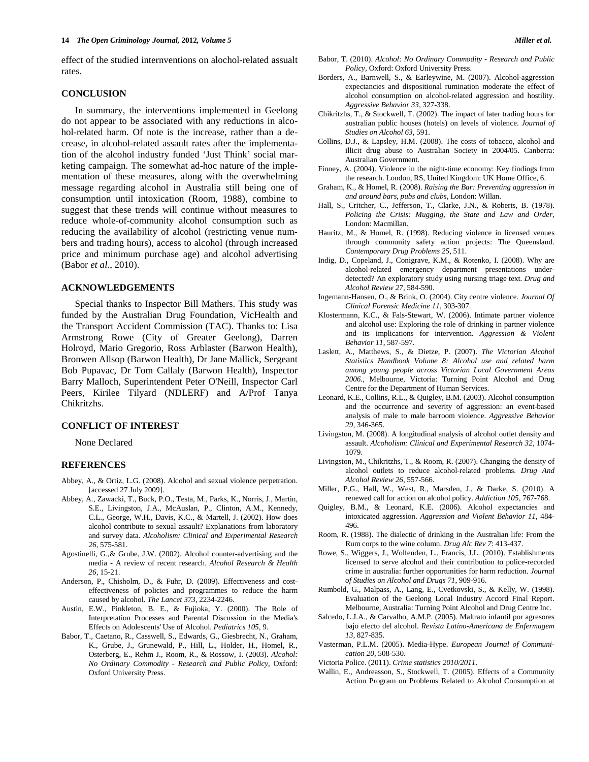effect of the studied internventions on alochol-related assualt rates.

#### **CONCLUSION**

In summary, the interventions implemented in Geelong do not appear to be associated with any reductions in alcohol-related harm. Of note is the increase, rather than a decrease, in alcohol-related assault rates after the implementation of the alcohol industry funded 'Just Think' social marketing campaign. The somewhat ad-hoc nature of the implementation of these measures, along with the overwhelming message regarding alcohol in Australia still being one of consumption until intoxication [\(Room, 1988\)](#page-6-29), combine to suggest that these trends will continue without measures to reduce whole-of-community alcohol consumption such as reducing the availability of alcohol (restricting venue numbers and trading hours), access to alcohol (through increased price and minimum purchase age) and alcohol advertising (Babor *et al*[., 2010\)](#page-6-11).

## **ACKNOWLEDGEMENTS**

Special thanks to Inspector Bill Mathers. This study was funded by the Australian Drug Foundation, VicHealth and the Transport Accident Commission (TAC). Thanks to: Lisa Armstrong Rowe (City of Greater Geelong), Darren Holroyd, Mario Gregorio, Ross Arblaster (Barwon Health), Bronwen Allsop (Barwon Health), Dr Jane Mallick, Sergeant Bob Pupavac, Dr Tom Callaly (Barwon Health), Inspector Barry Malloch, Superintendent Peter O'Neill, Inspector Carl Peers, Kirilee Tilyard (NDLERF) and A/Prof Tanya Chikritzhs.

# **CONFLICT OF INTEREST**

None Declared

## **REFERENCES**

- <span id="page-6-2"></span>Abbey, A., & Ortiz, L.G. (2008). Alcohol and sexual violence perpetration. [accessed 27 July 2009].
- <span id="page-6-3"></span>Abbey, A., Zawacki, T., Buck, P.O., Testa, M., Parks, K., Norris, J., Martin, S.E., Livingston, J.A., McAuslan, P., Clinton, A.M., Kennedy, C.L., George, W.H., Davis, K.C., & Martell, J. (2002). How does alcohol contribute to sexual assault? Explanations from laboratory and survey data. *Alcoholism: Clinical and Experimental Research 26*, 575-581.
- <span id="page-6-18"></span>Agostinelli, G.,& Grube, J.W. (2002). Alcohol counter-advertising and the media - A review of recent research. *Alcohol Research & Health 26*, 15-21.
- <span id="page-6-22"></span>Anderson, P., Chisholm, D., & Fuhr, D. (2009). Effectiveness and costeffectiveness of policies and programmes to reduce the harm caused by alcohol. *The Lancet 373*, 2234-2246.
- <span id="page-6-13"></span>Austin, E.W., Pinkleton, B. E., & Fujioka, Y. (2000). The Role of Interpretation Processes and Parental Discussion in the Media's Effects on Adolescents' Use of Alcohol. *Pediatrics 105*, 9.
- <span id="page-6-23"></span>Babor, T., Caetano, R., Casswell, S., Edwards, G., Giesbrecht, N., Graham, K., Grube, J., Grunewald, P., Hill, L., Holder, H., Homel, R., Osterberg, E., Rehm J., Room, R., & Rossow, I. (2003). *Alcohol: No Ordinary Commodity - Research and Public Policy,* Oxford: Oxford University Press.
- <span id="page-6-11"></span>Babor, T. (2010). *Alcohol: No Ordinary Commodity - Research and Public Policy,* Oxford: Oxford University Press.
- <span id="page-6-26"></span>Borders, A., Barnwell, S., & Earleywine, M. (2007). Alcohol-aggression expectancies and dispositional rumination moderate the effect of alcohol consumption on alcohol-related aggression and hostility. *Aggressive Behavior 33*, 327-338.
- <span id="page-6-7"></span>Chikritzhs, T., & Stockwell, T. (2002). The impact of later trading hours for australian public houses (hotels) on levels of violence. *Journal of Studies on Alcohol 63*, 591.
- <span id="page-6-6"></span>Collins, D.J., & Lapsley, H.M. (2008). The costs of tobacco, alcohol and illicit drug abuse to Australian Society in 2004/05. Canberra: Australian Government.
- <span id="page-6-4"></span>Finney, A. (2004). Violence in the night-time economy: Key findings from the research. London, RS, United Kingdom: UK Home Office, 6.
- <span id="page-6-16"></span>Graham, K., & Homel, R. (2008). *Raising the Bar: Preventing aggression in and around bars, pubs and clubs,* London: Willan.
- <span id="page-6-25"></span>Hall, S., Critcher, C., Jefferson, T., Clarke, J.N., & Roberts, B. (1978). *Policing the Crisis: Mugging, the State and Law and Order,*  London: Macmillan.
- <span id="page-6-14"></span>Hauritz, M., & Homel, R. (1998). Reducing violence in licensed venues through community safety action projects: The Queensland. *Contemporary Drug Problems 25*, 511.
- <span id="page-6-20"></span>Indig, D., Copeland, J., Conigrave, K.M., & Rotenko, I. (2008). Why are alcohol-related emergency department presentations underdetected? An exploratory study using nursing triage text. *Drug and Alcohol Review 27*, 584-590.
- <span id="page-6-5"></span>Ingemann-Hansen, O., & Brink, O. (2004). City centre violence. *Journal Of Clinical Forensic Medicine 11*, 303-307.
- <span id="page-6-0"></span>Klostermann, K.C., & Fals-Stewart, W. (2006). Intimate partner violence and alcohol use: Exploring the role of drinking in partner violence and its implications for intervention. *Aggression & Violent Behavior 11*, 587-597.
- <span id="page-6-21"></span>Laslett, A., Matthews, S., & Dietze, P. (2007). *The Victorian Alcohol Statistics Handbook Volume 8: Alcohol use and related harm among young people across Victorian Local Government Areas 2006.,* Melbourne, Victoria: Turning Point Alcohol and Drug Centre for the Department of Human Services.
- <span id="page-6-27"></span>Leonard, K.E., Collins, R.L., & Quigley, B.M. (2003). Alcohol consumption and the occurrence and severity of aggression: an event-based analysis of male to male barroom violence. *Aggressive Behavior 29*, 346-365.
- <span id="page-6-9"></span>Livingston, M. (2008). A longitudinal analysis of alcohol outlet density and assault. *Alcoholism: Clinical and Experimental Research 32*, 1074- 1079.
- <span id="page-6-10"></span>Livingston, M., Chikritzhs, T., & Room, R. (2007). Changing the density of alcohol outlets to reduce alcohol-related problems. *Drug And Alcohol Review 26*, 557-566.
- <span id="page-6-12"></span>Miller, P.G., Hall, W., West, R., Marsden, J., & Darke, S. (2010). A renewed call for action on alcohol policy. *Addiction 105*, 767-768.
- <span id="page-6-28"></span>Quigley, B.M., & Leonard, K.E. (2006). Alcohol expectancies and intoxicated aggression. *Aggression and Violent Behavior 11*, 484- 496.
- <span id="page-6-29"></span>Room, R. (1988). The dialectic of drinking in the Australian life: From the Rum corps to the wine column. *Drug Alc Rev 7*: 413-437.
- <span id="page-6-8"></span>Rowe, S., Wiggers, J., Wolfenden, L., Francis, J.L. (2010). Establishments licensed to serve alcohol and their contribution to police-recorded crime in australia: further opportunities for harm reduction. *Journal of Studies on Alcohol and Drugs 71*, 909-916.
- <span id="page-6-17"></span>Rumbold, G., Malpass, A., Lang, E., Cvetkovski, S., & Kelly, W. (1998). Evaluation of the Geelong Local Industry Accord Final Report. Melbourne, Australia: Turning Point Alcohol and Drug Centre Inc.
- <span id="page-6-1"></span>Salcedo, L.J.A., & Carvalho, A.M.P. (2005). Maltrato infantil por agresores bajo efecto del alcohol. *Revista Latino-Americana de Enfermagem 13*, 827-835.
- <span id="page-6-24"></span>Vasterman, P.L.M. (2005). Media-Hype. *European Journal of Communication 20*, 508-530.
- <span id="page-6-19"></span>Victoria Police. (2011). *Crime statistics 2010/2011*.
- <span id="page-6-15"></span>Wallin, E., Andreasson, S., Stockwell, T. (2005). Effects of a Community Action Program on Problems Related to Alcohol Consumption at